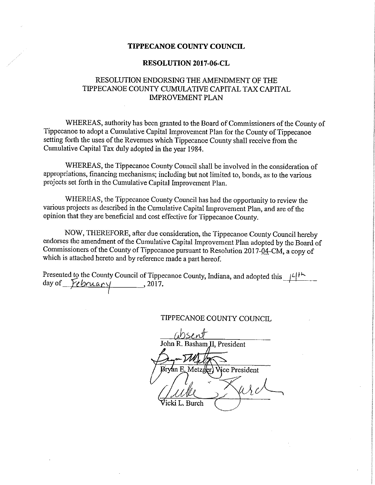## TIPPECANOE COUNTY COUNCIL

#### RESOLUTION 2017~06~CL

## RESOLUTION ENDORSING THE AMENDMENT OF THE TIPPECANOE COUNTY CUMULATIWE CAPITAL TAX CAPITAL IMPROVEMENT PLAN

WHEREAS, authority has been granted to the Board of Commissioners of the County of Tippecanoe to adopt a Cumulative Capital Improvement Plan for the County of Tippecanoe setting forth the uses of the Revenues which Tippecanoe County shall receive from the Cumulative Capital Tax duly adopted in the year 1984.

'WHEREAS, the Tippecanoe County Council shall be involved in the consideration of appropriations, financing mechanisms; including but not limited to, bonds, as to the various projects set forth in the Cumulative Capital Improvement Plan.

WHEREAS, the Tippecanoe County Council has had the opportunity to review the various projects as described in the Cumulative Capital Improvement Plan, and are of the opinion that they are beneficial and cost effective for Tippecanoe County.

NOW, THEREFORE, after due consideration, the Tippecanoe County Council hereby endorses the amendment of the Cumulative Capital Improvement Plan adopted by the Board of Commissioners of the County of Tippecanoe pursuant to Resolution 2017-04-CM, a copy of which is attached hereto and by reference made <sup>a</sup> part hereof.

Presented to the County Council of Tippecanoe County, Indiana, and adopted this  $\mathcal{A}^{\dagger\dagger\dagger\mathbf{b}}$ day of  $\mu$ *bruary* , 2017.

TIPPECANOE COUNTY COUNCIL

absent John R. Basham II, President >Metzger) Wice President Guille Girls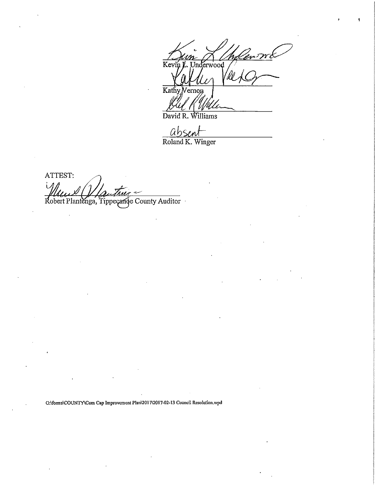ín L. Underwood Key /ll Kathy ernon

David R. Williams

 $ahson$ Roland K. Winger

ATTEST: Robert Plantenga, Tippeçange County Auditor

G:\forms\COUNTY\Cum Cap Improvement Plan\2017\2017-02-13 Council Resolution.wpd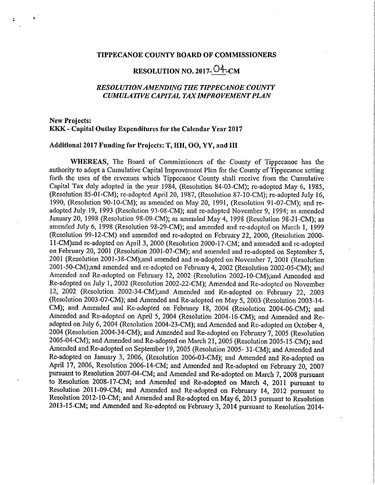### TIPPECANOE COUNTY BOARD OF COMMISSIONERS

# RESOLUTION NO. 2017- $O_{\text{LCM}}^4$

## RESOLUTIONAMENDING THE TIPPECANOE COUNTY CUMULATIVE CAPITAL TAXIMPROVEMENT PLAN

## New Projects: KKK-— Capital Outlay Expenditures for the Calendar Year 2017

 $\Delta$ 

## Additional 2017 Funding for Projects: T, HH, OO, YY, and III

WEREAS, The Board of Commissioners of the County of Tippecanoe has the authority to adopt <sup>a</sup> Cumulative Capital Improvement Plan for the County of Tippecanoe setting forth the uses of the revenues which Tippecanoe County shall receive from the Cumulative Capital Tax duly adopted in the year 1984, (Resolution 84—03-CM); re-adopted May 6, 1985, (Resolution 85-01-CM); re-adopted April 20, 1987, (Resolution 87-10-CM); re-adopted July 16, 1990, (Resolution 90-10~CM); as amended on May 20, 1991, (Resolution 91-07-CM); and readopted July 19,<sup>1993</sup> (Resolution 93—08-CM); and re—adopted November 9, 1994; as amended January 20, <sup>1998</sup> (Resolution 98-09~CM); as amended May 4, <sup>1998</sup> (Resolution 98-21—CM); as amended July 6, <sup>1998</sup> (Resolution 98-29-CM); and amended and re-adopted on March 1, <sup>1999</sup> (Resolution 99-12-CM) and amended and re-adopted on February 22, 2000, (Resolution 2000-11-CM)and re-adopted on April 3, 2000 (Resolution 2000-17-CM; and amended and re-adopted on February 20, 2001 (Resolution 2001-07-CM); and amended and re-adopted on September 5, 2001 (Resolution 2001-38-CM);and amended and re-adopted on November 7, 2001 (Resolution 2001~50—CM);and amended and re-adopted on February 4, <sup>2002</sup> (Resolution 2002-05-CM); and Amended and Re-adopted on February 12, <sup>2002</sup> (Resolution 2002-10—CM);and Amended and Re—adopted on July 1, <sup>2002</sup> (Resolution 2002—22—CM); Amended and Re-adopted on November 12, <sup>2002</sup> (Resolution 2002—34—CM);and Amended and Re-adOpted on February 22, <sup>2003</sup> (Resolution 2003—07—CM); and Amended and Re-adopted on May 5, <sup>2003</sup> (Resolution 2003—14- CM); and Amended and Re-adopted on February 18, 2004 (Resolution 2004-06-CM); and Amended and Re-adopted on April 5, 2004 (Resolution 2004-16-CM); and Amended and Readopted on July 6, <sup>2004</sup> (Resolution 2004-23-CM); and Amended and Re—adopted on October 4, <sup>2004</sup> (Resolution 2004-34-CM); and Amended and Re—adopted on February 7, <sup>2005</sup> (Resolution 2005-04-CM); and Amended and Re—adopted on March 21, <sup>2005</sup> (Resolution 2005—15~CM); and Amended and Re-adopted on September 19, 2005 (Resolution 2005-31-CM); and Amended and Re—adopted on January 3, 2006, (Resolution 2006-03-CM); and Amended and Re-adopted on April 17, 2006, Resolution 2006-14-CM; and Amended and Re-adopted on February 20, 2007 pursuant to Resolution 2007-04-CM; and Amended and Re-adopted on March 7, <sup>2008</sup> pursuant to Resolution 2008-17-CM; and Amended and Re-adOpted on March 4, <sup>2011</sup> pursuant to Resolution 2011-09-CM; and Amended and Re-adopted on February 14, 2012 pursuant to Resolution 2012-10-CM; and Amended and Re-adopted on May 6, 2013 pursuant to Resolution 2013-15-CM; and Amended and Re-adopted on February 3, 2014 pursuant to Resolution 2014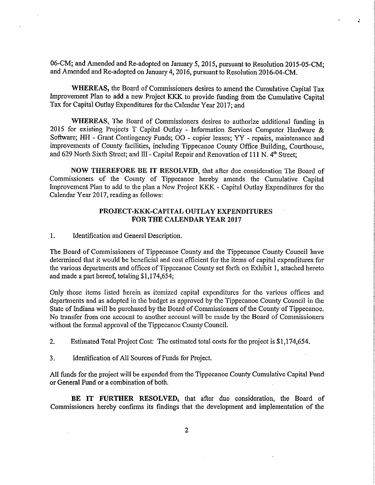06-CM; and Amended and Re-adopted on January 5, 2015, pursuant to Resolution 2015-05—CM; and Amended and Re-adopted on January 4, 2016, pursuant to Resolution 2016-04-CM.

z.

WHEREAS, the Board of Commissioners desires to amend the Cumulative Capital Tax Improvement Plan to add a new Project KKK to provide funding from the Cumulative Capital Tax for Capital Outlay Expenditures for the Calendar Year 2017; and

WHEREAS, The Board of Commissioners desires to authorize additional fimding in 2015 for existing Projects T Capital Outlay - Information Services Computer Hardware  $\&$ Software; HH - Grant Contingency Funds; OO - copier leases; YY - repairs, maintenance and improvements of County facilities, including Tippecanoe County Office Building, Courthouse, and 629 North Sixth Street; and III - Capital Repair and Renovation of 111 N.  $4<sup>th</sup>$  Street;

NOW THEREFORE BE IT RESOLVED, that after due consideration The Board of Commissioners of the County of Tippecanoe hereby amends the Cumulative Capital Improvement Plan to add to the plan <sup>a</sup> New Project KKK - Capital Outlay Expenditures for the Calendar Year 2017, reading as follows:

## PROJECT—KKK—CAPITAL OUTLAY EXPENDITURES FOR THE CALENDAR YEAR 2017

, 1. Identification and General Description.

The Board of Commissioners of Tippecanoe County and the Tippecanoe County Council have determined that it would be beneficial and cost efficient for the items of capital expenditures for the various departments and offices of Tippecanoe County set forth on Exhibit 1, attached hereto and made <sup>a</sup> part hereof, totaling \$1,174,654;

Only, those items listed herein as itemized capital expenditures for the various offices and departments and as adopted in the budget as approved by the Tippecanoe County Council in the State of Indiana will be purchased by the Board of Commissioners of the County of Tippecanoe. No transfer from one account to another account will be made by the Board of Commissioners without the formal approval of the Tippecanoe County Council.

2. Estimated Total Project Cost: The estimated total costs for the project is \$1,174,654.

3. Identification ofAll Sources of Funds for Project.

All funds for the project will be expended from the Tippecanoe County Cumulative Capital Fund or General Fund or a combination of both.

BE IT FURTHER RESOLVED, that after due consideration, the Board of Commissioners hereby confirms its findings that the development and implementation of the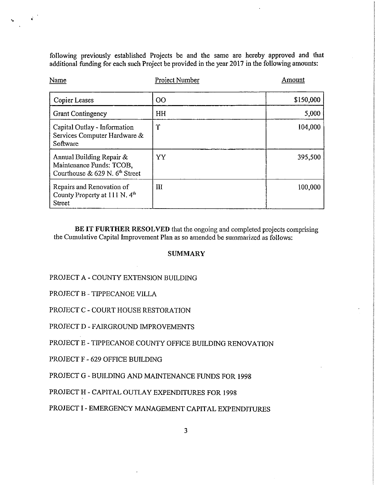following previously established Projects be and the same are hereby approved and that additional finnding for each such Project be provided in the year 2017 in the following amounts:

| Name                                                                                               | Project Number | Amount    |
|----------------------------------------------------------------------------------------------------|----------------|-----------|
| Copier Leases                                                                                      | 00             | \$150,000 |
| <b>Grant Contingency</b>                                                                           | HH             | 5,000     |
| Capital Outlay - Information<br>Services Computer Hardware &<br>Software                           | m              | 104.000   |
| Annual Building Repair &<br>Maintenance Funds: TCOB,<br>Courthouse & 629 N. 6 <sup>th</sup> Street | YY             | 395,500   |
| Repairs and Renovation of<br>County Property at 111 N. 4 <sup>th</sup><br>Street                   | Ш              | 100,000   |

BE IT FURTHER RESOLVED that the ongoing and completed projects comprising the Cumulative Capital Improvement Plan as so amended be summarized as follows:

## **SUMMARY**

#### PROJECT A - COUNTY EXTENSION BUILDING

PROJECT B — TIPPECANOE VILLA

 $\mathcal{A}^{\mathcal{A}}$ 

PROJECT C - COURT HOUSE RESTORATION

PROJECT D - FAIRGROUND IMPROVEMENTS

PROJECT'E - TIPPECANOE COUNTY OFFICE BUILDING RENOVATION

PROJECT F - 629 OFFICE BUILDING

PROJECT G <sup>~</sup> BUILDING AND MAINTENANCE FUNDS FOR 1998

PROJECT H - CAPITAL OUTLAY EXPENDITURES FOR 1998

PROJECT I - EMERGENCY MANAGEMENT CAPITAL EXPENDITURES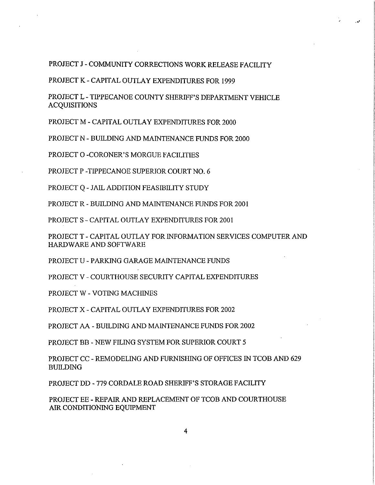PROJECT J - COMMUNITY CORRECTIONS WORK RELEASE FACILITY

PROJECT K - CAPITAL OUTLAY EXPENDITURES FOR 1999

PROJECT L - TIPPECANOE COUNTY SHERIFF'S DEPARTMENT VEHICLE **ACQUISITIONS** 

PROJECT M - CAPITAL OUTLAY EXPENDITURES FOR 2000

PROJECT N - BUILDING AND MAINTENANCE FUNDS FOR 2000

PROJECT 0 -CORONER'S MORGUE FACILITIES

PROJECT P —TIPPECANOE SUPERIOR COURT NO. 6

PROJECT Q - JAIL ADDITION FEASIBILITY STUDY

PROJECT R - BUILDING AND MAINTENANCE FUNDS FOR 2001

PROJECT S - CAPITAL OUTLAY EXPENDITURES FOR 2001

PROJECT T - CAPITAL OUTLAY FOR INFORMATION SERVICES COMPUTER AND HARDWARE AND SOFTWARE

PROJECT U — PARKING GARAGE MAINTENANCE FUNDS

PROJECT V — COURTHOUSE SECURITY CAPITAL EXPENDITURES

PROJECT W - VOTING MACHINES

PROJECT X — CAPITAL OUTLAY EXPENDITURES FOR 2002

PROJECT AA - BUILDING AND MAINTENANCE FUNDS FOR 2002

PROJECT BB — NEW FILING SYSTEM FOR SUPERIOR COURT 5

PROJECT CC — REMODELING AND FURNISHING OF OFFICES IN TCOB AND 629 BUILDING

PROJECT DD - 779 CORDALE ROAD SHERIFF'S STORAGE FACILITY

PROJECT EE - REPAIR AND REPLACEMENT OF TCOB AND COURTHOUSE AIR CONDITIONING EQUIPMENT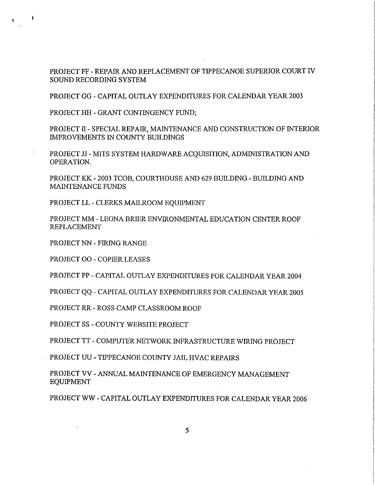PROJECT FF - REPAIR AND REPLACEMENT OF TIPPECANOE SUPERIOR COURT IV SOUND RECORDING SYSTEM

PROJECT GG - CAPITAL OUTLAY EXPENDITURES FOR CALENDAR YEAR 2003

PROJECT HH - GRANT CONTINGENCY FUND;

 $\langle \cdot | \cdot \rangle$ 

PROJECT II - SPECIAL REPAIR, MAINTENANCE AND CONSTRUCTION OF INTERIOR IMPROVEMENTS IN COUNTY BUILDINGS

PROJECT JJ - MITS SYSTEM HARDWARE ACQUISITION, ADMINISTRATION AND OPERATION.

PROJECT KK - 2003 TCOB, COURTHOUSE AND 629 BUILDING - BUILDING AND MAINTENANCE FUNDS

PROJECT LL -CLERKS MAILROOM EQUIPMENT

PROJECT MM «— LEONA BRIER ENVIRONMENTAL EDUCATION CENTER ROOF REPLACEMENT

PROJECT NN - FIRING RANGE

PROJECT 00 - COPIER LEASES

PROJECT PP — CAPITAL OUTLAY EXPENDITURES FOR CALENDAR YEAR 2004

PROJECT QQ - CAPITAL OUTLAY EXPENDITURES FOR CALENDAR YEAR 2005

PROJECT RR — ROSS CAMP CLASSROOM ROOF

PROJECT SS - COUNTY WEBSITE PROJECT

PROJECT TT - COMPUTER NETWORK INFRASTRUCTURE WIRING PROJECT

PROJECT UU <sup>~</sup> TIPPECANOE COUNTY JAIL HVAC REPAIRS

PROJECT W — ANNUAL MAINTENANCE OF EMERGENCY MANAGEMENT EQUIPMENT

PROJECT WW - CAPITAL OUTLAY EXPENDITURES FOR CALENDAR YEAR 2006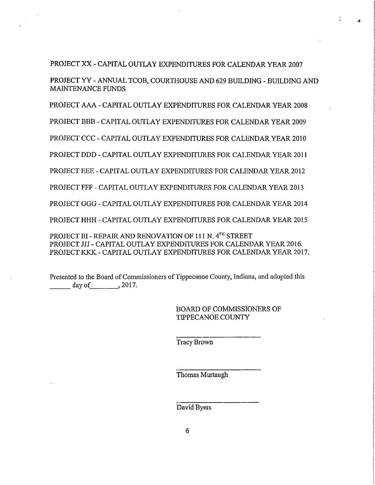## PROJECT XX - CAPITAL OUTLAY EXPENDITURES FOR CALENDAR YEAR 2007

PROJECT YY - ANNUAL TCOB, COURTHOUSE AND 629 BUILDING - BUILDING AND MAINTENANCE FUNDS

PROJECT AAA - CAPITAL OUTLAY EXPENDITURES FOR CALENDAR YEAR 2003

PROJECT BBB — CAPITAL OUTLAY EXPENDITURES FOR CALENDAR YEAR 2009

PROJECT CCC -CAPITAL OUTLAY EXPENDITURES FOR CALENDAR YEAR 2010

PROJECT DDD - CAPITAL OUTLAY EXPENDITURES POR CALENDAR YEAR 2011

PROJECT EEE — CAPITAL OUTLAY EXPENDITURES FOR CALENDAR YEAR 2012

PROJECT FFF <sup>~</sup> CAPITAL OUTLAY EXPENDITURES FOR CALENDAR YEAR 2013

PROJECT GGG - CAPITAL OUTLAY EXPENDITURES FOR CALENDAR YEAR 2014

PROJECT HHH - CAPITAL OUTLAY EXPENDITURES FOR CALENDAR YEAR 2015

PROJECT III - REPAIR AND RENOVATION OF 111 N. 4TH STREET PROJECT JIJ - CAPITAL OUTLAY EXPENDITURES FOR CALENDAR YEAR 2016. PROJECT KKK - CAPITAL OUTLAY EXPENDITURES FOR CALENDAR YEAR 2017.

Presented to the Board of Commissioners of Tippecanoe County, Indiana, and adopted this  $day of$ , 2017.

> BOARD OF COMMISSIONERS OF TIPPECANOE COUNTY

Tracy Brown

Thomas Murtaugh

David Byers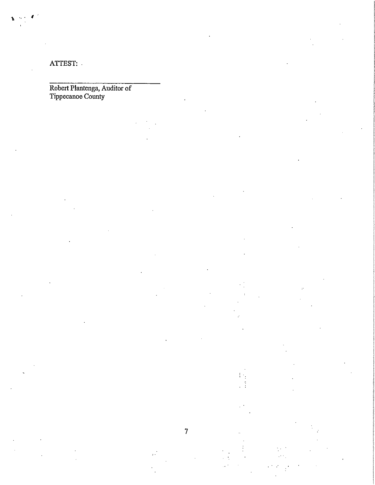ATTEST: -

Robert Plantenga, Auditor of Tippecanoe County

> $\vdots$  $\ddot{\phantom{a}}$  :  $\ddot{\ddot{\cdot}}$

 $\overline{7}$ 

 $\hat{f}$  .